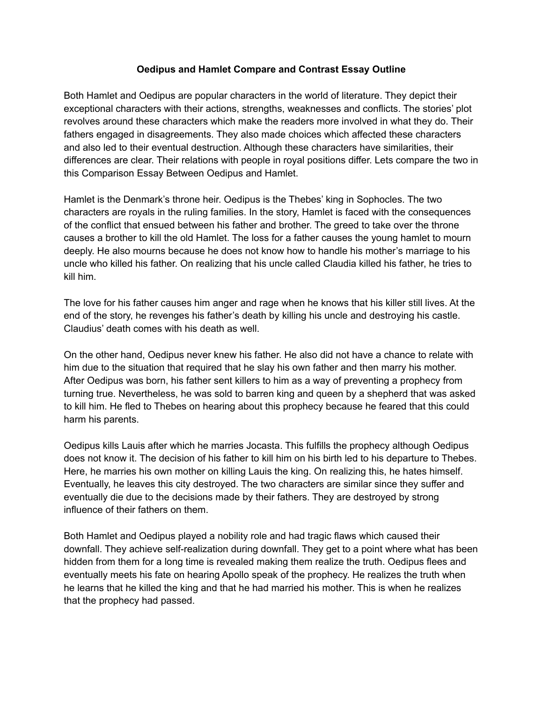## **Oedipus and Hamlet Compare and Contrast Essay Outline**

Both Hamlet and Oedipus are popular characters in the world of literature. They depict their exceptional characters with their actions, strengths, weaknesses and conflicts. The stories' plot revolves around these characters which make the readers more involved in what they do. Their fathers engaged in disagreements. They also made choices which affected these characters and also led to their eventual destruction. Although these characters have similarities, their differences are clear. Their relations with people in royal positions differ. Lets compare the two in this Comparison Essay Between Oedipus and Hamlet.

Hamlet is the Denmark's throne heir. Oedipus is the Thebes' king in Sophocles. The two characters are royals in the ruling families. In the story, Hamlet is faced with the consequences of the conflict that ensued between his father and brother. The greed to take over the throne causes a brother to kill the old Hamlet. The loss for a father causes the young hamlet to mourn deeply. He also mourns because he does not know how to handle his mother's marriage to his uncle who killed his father. On realizing that his uncle called Claudia killed his father, he tries to kill him.

The love for his father causes him anger and rage when he knows that his killer still lives. At the end of the story, he revenges his father's death by killing his uncle and destroying his castle. Claudius' death comes with his death as well.

On the other hand, Oedipus never knew his father. He also did not have a chance to relate with him due to the situation that required that he slay his own father and then marry his mother. After Oedipus was born, his father sent killers to him as a way of preventing a prophecy from turning true. Nevertheless, he was sold to barren king and queen by a shepherd that was asked to kill him. He fled to Thebes on hearing about this prophecy because he feared that this could harm his parents.

Oedipus kills Lauis after which he marries Jocasta. This fulfills the prophecy although Oedipus does not know it. The decision of his father to kill him on his birth led to his departure to Thebes. Here, he marries his own mother on killing Lauis the king. On realizing this, he hates himself. Eventually, he leaves this city destroyed. The two characters are similar since they suffer and eventually die due to the decisions made by their fathers. They are destroyed by strong influence of their fathers on them.

Both Hamlet and Oedipus played a nobility role and had tragic flaws which caused their downfall. They achieve self-realization during downfall. They get to a point where what has been hidden from them for a long time is revealed making them realize the truth. Oedipus flees and eventually meets his fate on hearing Apollo speak of the prophecy. He realizes the truth when he learns that he killed the king and that he had married his mother. This is when he realizes that the prophecy had passed.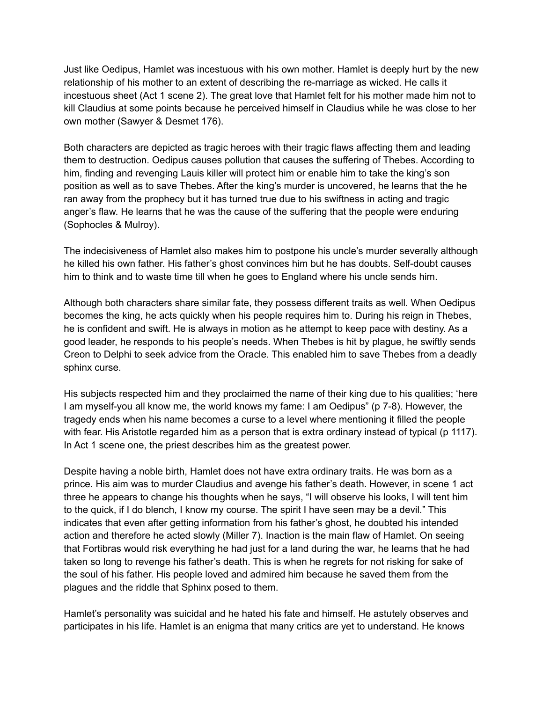Just like Oedipus, Hamlet was incestuous with his own mother. Hamlet is deeply hurt by the new relationship of his mother to an extent of describing the re-marriage as wicked. He calls it incestuous sheet (Act 1 scene 2). The great love that Hamlet felt for his mother made him not to kill Claudius at some points because he perceived himself in Claudius while he was close to her own mother (Sawyer & Desmet 176).

Both characters are depicted as tragic heroes with their tragic flaws affecting them and leading them to destruction. Oedipus causes pollution that causes the suffering of Thebes. According to him, finding and revenging Lauis killer will protect him or enable him to take the king's son position as well as to save Thebes. After the king's murder is uncovered, he learns that the he ran away from the prophecy but it has turned true due to his swiftness in acting and tragic anger's flaw. He learns that he was the cause of the suffering that the people were enduring (Sophocles & Mulroy).

The indecisiveness of Hamlet also makes him to postpone his uncle's murder severally although he killed his own father. His father's ghost convinces him but he has doubts. Self-doubt causes him to think and to waste time till when he goes to England where his uncle sends him.

Although both characters share similar fate, they possess different traits as well. When Oedipus becomes the king, he acts quickly when his people requires him to. During his reign in Thebes, he is confident and swift. He is always in motion as he attempt to keep pace with destiny. As a good leader, he responds to his people's needs. When Thebes is hit by plague, he swiftly sends Creon to Delphi to seek advice from the Oracle. This enabled him to save Thebes from a deadly sphinx curse.

His subjects respected him and they proclaimed the name of their king due to his qualities; 'here I am myself-you all know me, the world knows my fame: I am Oedipus" (p 7-8). However, the tragedy ends when his name becomes a curse to a level where mentioning it filled the people with fear. His Aristotle regarded him as a person that is extra ordinary instead of typical (p 1117). In Act 1 scene one, the priest describes him as the greatest power.

Despite having a noble birth, Hamlet does not have extra ordinary traits. He was born as a prince. His aim was to murder Claudius and avenge his father's death. However, in scene 1 act three he appears to change his thoughts when he says, "I will observe his looks, I will tent him to the quick, if I do blench, I know my course. The spirit I have seen may be a devil." This indicates that even after getting information from his father's ghost, he doubted his intended action and therefore he acted slowly (Miller 7). Inaction is the main flaw of Hamlet. On seeing that Fortibras would risk everything he had just for a land during the war, he learns that he had taken so long to revenge his father's death. This is when he regrets for not risking for sake of the soul of his father. His people loved and admired him because he saved them from the plagues and the riddle that Sphinx posed to them.

Hamlet's personality was suicidal and he hated his fate and himself. He astutely observes and participates in his life. Hamlet is an enigma that many critics are yet to understand. He knows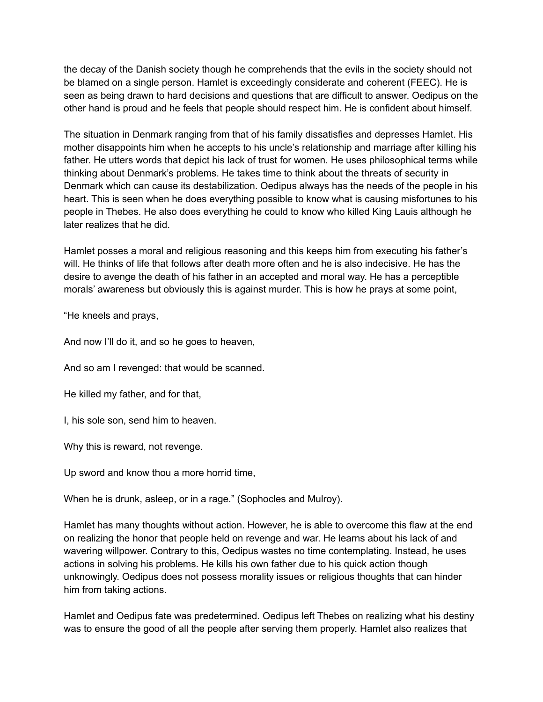the decay of the Danish society though he comprehends that the evils in the society should not be blamed on a single person. Hamlet is exceedingly considerate and coherent (FEEC). He is seen as being drawn to hard decisions and questions that are difficult to answer. Oedipus on the other hand is proud and he feels that people should respect him. He is confident about himself.

The situation in Denmark ranging from that of his family dissatisfies and depresses Hamlet. His mother disappoints him when he accepts to his uncle's relationship and marriage after killing his father. He utters words that depict his lack of trust for women. He uses philosophical terms while thinking about Denmark's problems. He takes time to think about the threats of security in Denmark which can cause its destabilization. Oedipus always has the needs of the people in his heart. This is seen when he does everything possible to know what is causing misfortunes to his people in Thebes. He also does everything he could to know who killed King Lauis although he later realizes that he did.

Hamlet posses a moral and religious reasoning and this keeps him from executing his father's will. He thinks of life that follows after death more often and he is also indecisive. He has the desire to avenge the death of his father in an accepted and moral way. He has a perceptible morals' awareness but obviously this is against murder. This is how he prays at some point,

"He kneels and prays,

And now I'll do it, and so he goes to heaven,

And so am I revenged: that would be scanned.

He killed my father, and for that,

I, his sole son, send him to heaven.

Why this is reward, not revenge.

Up sword and know thou a more horrid time,

When he is drunk, asleep, or in a rage." (Sophocles and Mulroy).

Hamlet has many thoughts without action. However, he is able to overcome this flaw at the end on realizing the honor that people held on revenge and war. He learns about his lack of and wavering willpower. Contrary to this, Oedipus wastes no time contemplating. Instead, he uses actions in solving his problems. He kills his own father due to his quick action though unknowingly. Oedipus does not possess morality issues or religious thoughts that can hinder him from taking actions.

Hamlet and Oedipus fate was predetermined. Oedipus left Thebes on realizing what his destiny was to ensure the good of all the people after serving them properly. Hamlet also realizes that